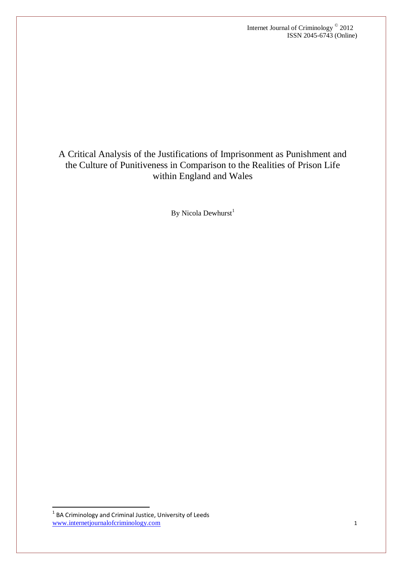Internet Journal of Criminology © 2012 ISSN 2045-6743 (Online)

A Critical Analysis of the Justifications of Imprisonment as Punishment and the Culture of Punitiveness in Comparison to the Realities of Prison Life within England and Wales

By Nicola Dewhurst<sup>1</sup>

.

www.internetjournalofcriminology.com 1 <sup>1</sup> BA Criminology and Criminal Justice, University of Leeds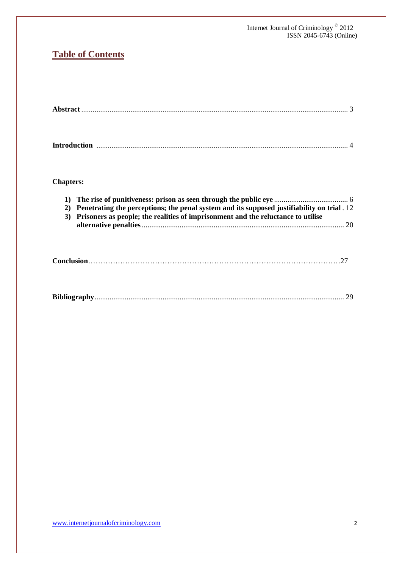#### Internet Journal of Criminology © 2012 ISSN 2045-6743 (Online)

# **Table of Contents**

|--|--|

# **Chapters:**

| 2) Penetrating the perceptions; the penal system and its supposed justifiability on trial . 12 |
|------------------------------------------------------------------------------------------------|
| 3) Prisoners as people; the realities of imprisonment and the reluctance to utilise            |
|                                                                                                |
|                                                                                                |

|--|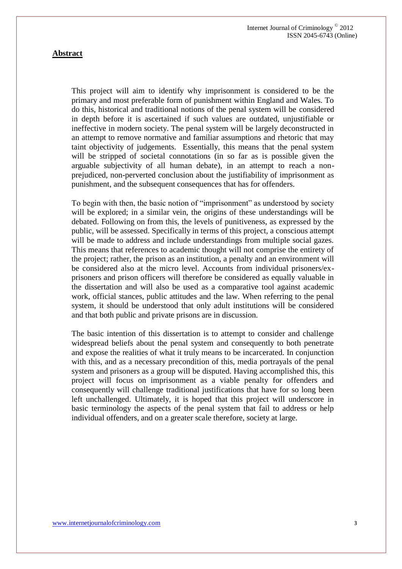## **Abstract**

This project will aim to identify why imprisonment is considered to be the primary and most preferable form of punishment within England and Wales. To do this, historical and traditional notions of the penal system will be considered in depth before it is ascertained if such values are outdated, unjustifiable or ineffective in modern society. The penal system will be largely deconstructed in an attempt to remove normative and familiar assumptions and rhetoric that may taint objectivity of judgements. Essentially, this means that the penal system will be stripped of societal connotations (in so far as is possible given the arguable subjectivity of all human debate), in an attempt to reach a nonprejudiced, non-perverted conclusion about the justifiability of imprisonment as punishment, and the subsequent consequences that has for offenders.

To begin with then, the basic notion of "imprisonment" as understood by society will be explored; in a similar vein, the origins of these understandings will be debated. Following on from this, the levels of punitiveness, as expressed by the public, will be assessed. Specifically in terms of this project, a conscious attempt will be made to address and include understandings from multiple social gazes. This means that references to academic thought will not comprise the entirety of the project; rather, the prison as an institution, a penalty and an environment will be considered also at the micro level. Accounts from individual prisoners/exprisoners and prison officers will therefore be considered as equally valuable in the dissertation and will also be used as a comparative tool against academic work, official stances, public attitudes and the law. When referring to the penal system, it should be understood that only adult institutions will be considered and that both public and private prisons are in discussion.

The basic intention of this dissertation is to attempt to consider and challenge widespread beliefs about the penal system and consequently to both penetrate and expose the realities of what it truly means to be incarcerated. In conjunction with this, and as a necessary precondition of this, media portrayals of the penal system and prisoners as a group will be disputed. Having accomplished this, this project will focus on imprisonment as a viable penalty for offenders and consequently will challenge traditional justifications that have for so long been left unchallenged. Ultimately, it is hoped that this project will underscore in basic terminology the aspects of the penal system that fail to address or help individual offenders, and on a greater scale therefore, society at large.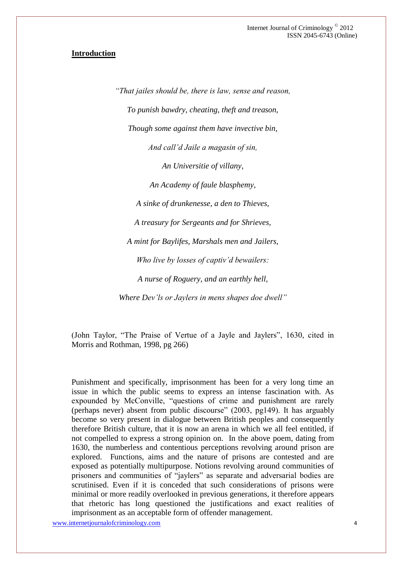## **Introduction**

*"That jailes should be, there is law, sense and reason, To punish bawdry, cheating, theft and treason, Though some against them have invective bin, And call'd Jaile a magasin of sin, An Universitie of villany, An Academy of faule blasphemy, A sinke of drunkenesse, a den to Thieves, A treasury for Sergeants and for Shrieves, A mint for Baylifes, Marshals men and Jailers, Who live by losses of captiv'd bewailers: A nurse of Roguery, and an earthly hell, Where Dev'ls or Jaylers in mens shapes doe dwell"*

(John Taylor, "The Praise of Vertue of a Jayle and Jaylers", 1630, cited in Morris and Rothman, 1998, pg 266)

Punishment and specifically, imprisonment has been for a very long time an issue in which the public seems to express an intense fascination with. As expounded by McConville, "questions of crime and punishment are rarely (perhaps never) absent from public discourse" (2003, pg149). It has arguably become so very present in dialogue between British peoples and consequently therefore British culture, that it is now an arena in which we all feel entitled, if not compelled to express a strong opinion on. In the above poem, dating from 1630, the numberless and contentious perceptions revolving around prison are explored. Functions, aims and the nature of prisons are contested and are exposed as potentially multipurpose. Notions revolving around communities of prisoners and communities of "jaylers" as separate and adversarial bodies are scrutinised. Even if it is conceded that such considerations of prisons were minimal or more readily overlooked in previous generations, it therefore appears that rhetoric has long questioned the justifications and exact realities of imprisonment as an acceptable form of offender management.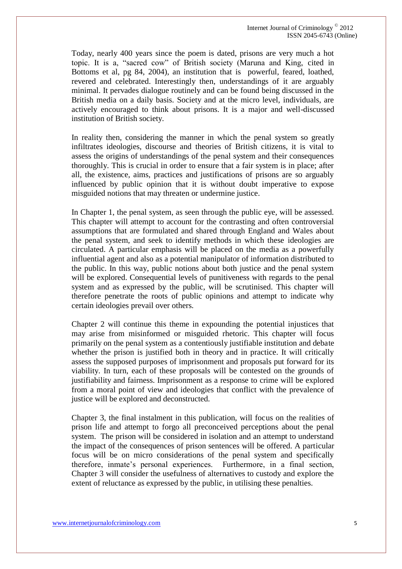Internet Journal of Criminology © 2012 ISSN 2045-6743 (Online)

Today, nearly 400 years since the poem is dated, prisons are very much a hot topic. It is a, "sacred cow" of British society (Maruna and King, cited in Bottoms et al, pg 84, 2004), an institution that is powerful, feared, loathed, revered and celebrated. Interestingly then, understandings of it are arguably minimal. It pervades dialogue routinely and can be found being discussed in the British media on a daily basis. Society and at the micro level, individuals, are actively encouraged to think about prisons. It is a major and well-discussed institution of British society.

In reality then, considering the manner in which the penal system so greatly infiltrates ideologies, discourse and theories of British citizens, it is vital to assess the origins of understandings of the penal system and their consequences thoroughly. This is crucial in order to ensure that a fair system is in place; after all, the existence, aims, practices and justifications of prisons are so arguably influenced by public opinion that it is without doubt imperative to expose misguided notions that may threaten or undermine justice.

In Chapter 1, the penal system, as seen through the public eye, will be assessed. This chapter will attempt to account for the contrasting and often controversial assumptions that are formulated and shared through England and Wales about the penal system, and seek to identify methods in which these ideologies are circulated. A particular emphasis will be placed on the media as a powerfully influential agent and also as a potential manipulator of information distributed to the public. In this way, public notions about both justice and the penal system will be explored. Consequential levels of punitiveness with regards to the penal system and as expressed by the public, will be scrutinised. This chapter will therefore penetrate the roots of public opinions and attempt to indicate why certain ideologies prevail over others.

Chapter 2 will continue this theme in expounding the potential injustices that may arise from misinformed or misguided rhetoric. This chapter will focus primarily on the penal system as a contentiously justifiable institution and debate whether the prison is justified both in theory and in practice. It will critically assess the supposed purposes of imprisonment and proposals put forward for its viability. In turn, each of these proposals will be contested on the grounds of justifiability and fairness. Imprisonment as a response to crime will be explored from a moral point of view and ideologies that conflict with the prevalence of justice will be explored and deconstructed.

Chapter 3, the final instalment in this publication, will focus on the realities of prison life and attempt to forgo all preconceived perceptions about the penal system. The prison will be considered in isolation and an attempt to understand the impact of the consequences of prison sentences will be offered. A particular focus will be on micro considerations of the penal system and specifically therefore, inmate's personal experiences. Furthermore, in a final section, Chapter 3 will consider the usefulness of alternatives to custody and explore the extent of reluctance as expressed by the public, in utilising these penalties.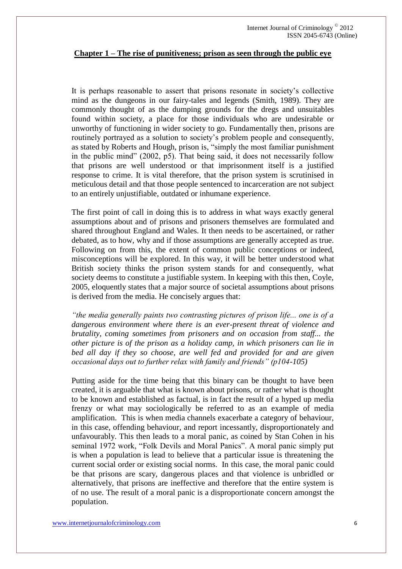#### **Chapter 1 – The rise of punitiveness; prison as seen through the public eye**

It is perhaps reasonable to assert that prisons resonate in society's collective mind as the dungeons in our fairy-tales and legends (Smith, 1989). They are commonly thought of as the dumping grounds for the dregs and unsuitables found within society, a place for those individuals who are undesirable or unworthy of functioning in wider society to go. Fundamentally then, prisons are routinely portrayed as a solution to society's problem people and consequently, as stated by Roberts and Hough, prison is, "simply the most familiar punishment in the public mind" (2002, p5). That being said, it does not necessarily follow that prisons are well understood or that imprisonment itself is a justified response to crime. It is vital therefore, that the prison system is scrutinised in meticulous detail and that those people sentenced to incarceration are not subject to an entirely unjustifiable, outdated or inhumane experience.

The first point of call in doing this is to address in what ways exactly general assumptions about and of prisons and prisoners themselves are formulated and shared throughout England and Wales. It then needs to be ascertained, or rather debated, as to how, why and if those assumptions are generally accepted as true. Following on from this, the extent of common public conceptions or indeed, misconceptions will be explored. In this way, it will be better understood what British society thinks the prison system stands for and consequently, what society deems to constitute a justifiable system. In keeping with this then, Coyle, 2005, eloquently states that a major source of societal assumptions about prisons is derived from the media. He concisely argues that:

*"the media generally paints two contrasting pictures of prison life... one is of a dangerous environment where there is an ever-present threat of violence and brutality, coming sometimes from prisoners and on occasion from staff... the other picture is of the prison as a holiday camp, in which prisoners can lie in bed all day if they so choose, are well fed and provided for and are given occasional days out to further relax with family and friends" (p104-105)*

Putting aside for the time being that this binary can be thought to have been created, it is arguable that what is known about prisons, or rather what is thought to be known and established as factual, is in fact the result of a hyped up media frenzy or what may sociologically be referred to as an example of media amplification. This is when media channels exacerbate a category of behaviour, in this case, offending behaviour, and report incessantly, disproportionately and unfavourably. This then leads to a moral panic, as coined by Stan Cohen in his seminal 1972 work, "Folk Devils and Moral Panics". A moral panic simply put is when a population is lead to believe that a particular issue is threatening the current social order or existing social norms. In this case, the moral panic could be that prisons are scary, dangerous places and that violence is unbridled or alternatively, that prisons are ineffective and therefore that the entire system is of no use. The result of a moral panic is a disproportionate concern amongst the population.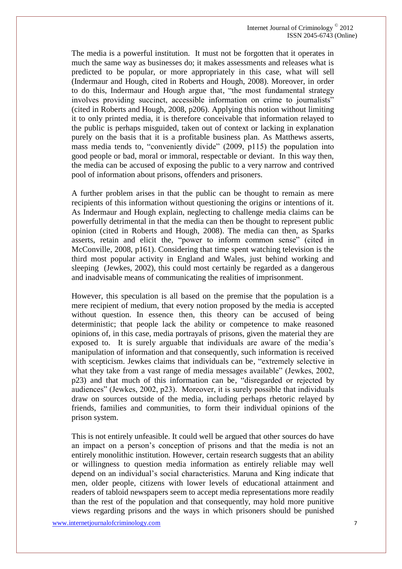The media is a powerful institution. It must not be forgotten that it operates in much the same way as businesses do; it makes assessments and releases what is predicted to be popular, or more appropriately in this case, what will sell (Indermaur and Hough, cited in Roberts and Hough, 2008). Moreover, in order to do this, Indermaur and Hough argue that, "the most fundamental strategy involves providing succinct, accessible information on crime to journalists" (cited in Roberts and Hough, 2008, p206). Applying this notion without limiting it to only printed media, it is therefore conceivable that information relayed to the public is perhaps misguided, taken out of context or lacking in explanation purely on the basis that it is a profitable business plan. As Matthews asserts, mass media tends to, "conveniently divide" (2009, p115) the population into good people or bad, moral or immoral, respectable or deviant. In this way then, the media can be accused of exposing the public to a very narrow and contrived pool of information about prisons, offenders and prisoners.

A further problem arises in that the public can be thought to remain as mere recipients of this information without questioning the origins or intentions of it. As Indermaur and Hough explain, neglecting to challenge media claims can be powerfully detrimental in that the media can then be thought to represent public opinion (cited in Roberts and Hough, 2008). The media can then, as Sparks asserts, retain and elicit the, "power to inform common sense" (cited in McConville, 2008, p161). Considering that time spent watching television is the third most popular activity in England and Wales, just behind working and sleeping (Jewkes, 2002), this could most certainly be regarded as a dangerous and inadvisable means of communicating the realities of imprisonment.

However, this speculation is all based on the premise that the population is a mere recipient of medium, that every notion proposed by the media is accepted without question. In essence then, this theory can be accused of being deterministic; that people lack the ability or competence to make reasoned opinions of, in this case, media portrayals of prisons, given the material they are exposed to. It is surely arguable that individuals are aware of the media's manipulation of information and that consequently, such information is received with scepticism. Jewkes claims that individuals can be, "extremely selective in what they take from a vast range of media messages available" (Jewkes, 2002, p23) and that much of this information can be, "disregarded or rejected by audiences" (Jewkes, 2002, p23). Moreover, it is surely possible that individuals draw on sources outside of the media, including perhaps rhetoric relayed by friends, families and communities, to form their individual opinions of the prison system.

This is not entirely unfeasible. It could well be argued that other sources do have an impact on a person's conception of prisons and that the media is not an entirely monolithic institution. However, certain research suggests that an ability or willingness to question media information as entirely reliable may well depend on an individual's social characteristics. Maruna and King indicate that men, older people, citizens with lower levels of educational attainment and readers of tabloid newspapers seem to accept media representations more readily than the rest of the population and that consequently, may hold more punitive views regarding prisons and the ways in which prisoners should be punished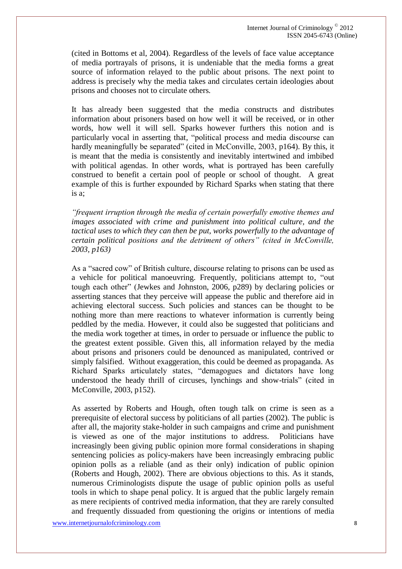(cited in Bottoms et al, 2004). Regardless of the levels of face value acceptance of media portrayals of prisons, it is undeniable that the media forms a great source of information relayed to the public about prisons. The next point to address is precisely why the media takes and circulates certain ideologies about prisons and chooses not to circulate others.

It has already been suggested that the media constructs and distributes information about prisoners based on how well it will be received, or in other words, how well it will sell. Sparks however furthers this notion and is particularly vocal in asserting that, "political process and media discourse can hardly meaningfully be separated" (cited in McConville, 2003, p164). By this, it is meant that the media is consistently and inevitably intertwined and imbibed with political agendas. In other words, what is portrayed has been carefully construed to benefit a certain pool of people or school of thought. A great example of this is further expounded by Richard Sparks when stating that there is a;

*"frequent irruption through the media of certain powerfully emotive themes and images associated with crime and punishment into political culture, and the tactical uses to which they can then be put, works powerfully to the advantage of certain political positions and the detriment of others" (cited in McConville, 2003, p163)*

As a "sacred cow" of British culture, discourse relating to prisons can be used as a vehicle for political manoeuvring. Frequently, politicians attempt to, "out tough each other" (Jewkes and Johnston, 2006, p289) by declaring policies or asserting stances that they perceive will appease the public and therefore aid in achieving electoral success. Such policies and stances can be thought to be nothing more than mere reactions to whatever information is currently being peddled by the media. However, it could also be suggested that politicians and the media work together at times, in order to persuade or influence the public to the greatest extent possible. Given this, all information relayed by the media about prisons and prisoners could be denounced as manipulated, contrived or simply falsified. Without exaggeration, this could be deemed as propaganda. As Richard Sparks articulately states, "demagogues and dictators have long understood the heady thrill of circuses, lynchings and show-trials" (cited in McConville, 2003, p152).

As asserted by Roberts and Hough, often tough talk on crime is seen as a prerequisite of electoral success by politicians of all parties (2002). The public is after all, the majority stake-holder in such campaigns and crime and punishment is viewed as one of the major institutions to address. Politicians have increasingly been giving public opinion more formal considerations in shaping sentencing policies as policy-makers have been increasingly embracing public opinion polls as a reliable (and as their only) indication of public opinion (Roberts and Hough, 2002). There are obvious objections to this. As it stands, numerous Criminologists dispute the usage of public opinion polls as useful tools in which to shape penal policy. It is argued that the public largely remain as mere recipients of contrived media information, that they are rarely consulted and frequently dissuaded from questioning the origins or intentions of media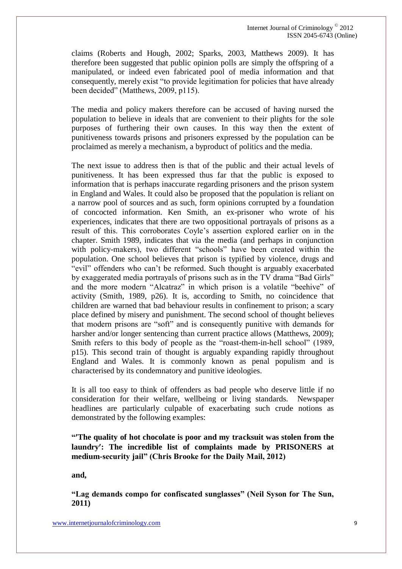claims (Roberts and Hough, 2002; Sparks, 2003, Matthews 2009). It has therefore been suggested that public opinion polls are simply the offspring of a manipulated, or indeed even fabricated pool of media information and that consequently, merely exist "to provide legitimation for policies that have already been decided" (Matthews, 2009, p115).

The media and policy makers therefore can be accused of having nursed the population to believe in ideals that are convenient to their plights for the sole purposes of furthering their own causes. In this way then the extent of punitiveness towards prisons and prisoners expressed by the population can be proclaimed as merely a mechanism, a byproduct of politics and the media.

The next issue to address then is that of the public and their actual levels of punitiveness. It has been expressed thus far that the public is exposed to information that is perhaps inaccurate regarding prisoners and the prison system in England and Wales. It could also be proposed that the population is reliant on a narrow pool of sources and as such, form opinions corrupted by a foundation of concocted information. Ken Smith, an ex-prisoner who wrote of his experiences, indicates that there are two oppositional portrayals of prisons as a result of this. This corroborates Coyle's assertion explored earlier on in the chapter. Smith 1989, indicates that via the media (and perhaps in conjunction with policy-makers), two different "schools" have been created within the population. One school believes that prison is typified by violence, drugs and "evil" offenders who can't be reformed. Such thought is arguably exacerbated by exaggerated media portrayals of prisons such as in the TV drama "Bad Girls" and the more modern "Alcatraz" in which prison is a volatile "beehive" of activity (Smith, 1989, p26). It is, according to Smith, no coincidence that children are warned that bad behaviour results in confinement to prison; a scary place defined by misery and punishment. The second school of thought believes that modern prisons are "soft" and is consequently punitive with demands for harsher and/or longer sentencing than current practice allows (Matthews, 2009); Smith refers to this body of people as the "roast-them-in-hell school" (1989, p15). This second train of thought is arguably expanding rapidly throughout England and Wales. It is commonly known as penal populism and is characterised by its condemnatory and punitive ideologies.

It is all too easy to think of offenders as bad people who deserve little if no consideration for their welfare, wellbeing or living standards. Newspaper headlines are particularly culpable of exacerbating such crude notions as demonstrated by the following examples:

**"The quality of hot chocolate is poor and my tracksuit was stolen from the laundry: The incredible list of complaints made by PRISONERS at medium-security jail" (Chris Brooke for the Daily Mail, 2012)**

**and,**

**"Lag demands compo for confiscated sunglasses" (Neil Syson for The Sun, 2011)**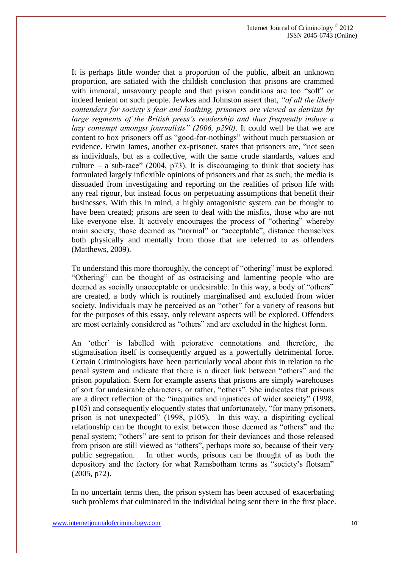It is perhaps little wonder that a proportion of the public, albeit an unknown proportion, are satiated with the childish conclusion that prisons are crammed with immoral, unsavoury people and that prison conditions are too "soft" or indeed lenient on such people. Jewkes and Johnston assert that, *"of all the likely contenders for society's fear and loathing, prisoners are viewed as detritus by large segments of the British press's readership and thus frequently induce a lazy contempt amongst journalists" (2006, p290)*. It could well be that we are content to box prisoners off as "good-for-nothings" without much persuasion or evidence. Erwin James, another ex-prisoner, states that prisoners are, "not seen as individuals, but as a collective, with the same crude standards, values and culture – a sub-race" (2004, p73). It is discouraging to think that society has formulated largely inflexible opinions of prisoners and that as such, the media is dissuaded from investigating and reporting on the realities of prison life with any real rigour, but instead focus on perpetuating assumptions that benefit their businesses. With this in mind, a highly antagonistic system can be thought to have been created; prisons are seen to deal with the misfits, those who are not like everyone else. It actively encourages the process of "othering" whereby main society, those deemed as "normal" or "acceptable", distance themselves both physically and mentally from those that are referred to as offenders (Matthews, 2009).

To understand this more thoroughly, the concept of "othering" must be explored. "Othering" can be thought of as ostracising and lamenting people who are deemed as socially unacceptable or undesirable. In this way, a body of "others" are created, a body which is routinely marginalised and excluded from wider society. Individuals may be perceived as an "other" for a variety of reasons but for the purposes of this essay, only relevant aspects will be explored. Offenders are most certainly considered as "others" and are excluded in the highest form.

An 'other' is labelled with pejorative connotations and therefore, the stigmatisation itself is consequently argued as a powerfully detrimental force. Certain Criminologists have been particularly vocal about this in relation to the penal system and indicate that there is a direct link between "others" and the prison population. Stern for example asserts that prisons are simply warehouses of sort for undesirable characters, or rather, "others". She indicates that prisons are a direct reflection of the "inequities and injustices of wider society" (1998, p105) and consequently eloquently states that unfortunately, "for many prisoners, prison is not unexpected" (1998, p105). In this way, a dispiriting cyclical relationship can be thought to exist between those deemed as "others" and the penal system; "others" are sent to prison for their deviances and those released from prison are still viewed as "others", perhaps more so, because of their very public segregation. In other words, prisons can be thought of as both the depository and the factory for what Ramsbotham terms as "society's flotsam" (2005, p72).

In no uncertain terms then, the prison system has been accused of exacerbating such problems that culminated in the individual being sent there in the first place.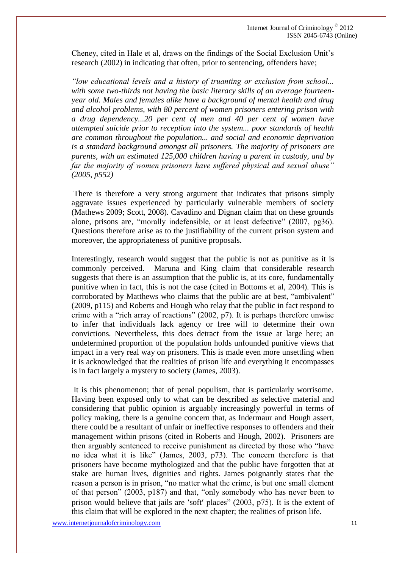Cheney, cited in Hale et al, draws on the findings of the Social Exclusion Unit's research (2002) in indicating that often, prior to sentencing, offenders have;

*"low educational levels and a history of truanting or exclusion from school... with some two-thirds not having the basic literacy skills of an average fourteenyear old. Males and females alike have a background of mental health and drug and alcohol problems, with 80 percent of women prisoners entering prison with a drug dependency...20 per cent of men and 40 per cent of women have attempted suicide prior to reception into the system... poor standards of health are common throughout the population... and social and economic deprivation is a standard background amongst all prisoners. The majority of prisoners are parents, with an estimated 125,000 children having a parent in custody, and by far the majority of women prisoners have suffered physical and sexual abuse" (2005, p552)*

There is therefore a very strong argument that indicates that prisons simply aggravate issues experienced by particularly vulnerable members of society (Mathews 2009; Scott, 2008). Cavadino and Dignan claim that on these grounds alone, prisons are, "morally indefensible, or at least defective" (2007, pg36). Questions therefore arise as to the justifiability of the current prison system and moreover, the appropriateness of punitive proposals.

Interestingly, research would suggest that the public is not as punitive as it is commonly perceived. Maruna and King claim that considerable research suggests that there is an assumption that the public is, at its core, fundamentally punitive when in fact, this is not the case (cited in Bottoms et al, 2004). This is corroborated by Matthews who claims that the public are at best, "ambivalent" (2009, p115) and Roberts and Hough who relay that the public in fact respond to crime with a "rich array of reactions" (2002, p7). It is perhaps therefore unwise to infer that individuals lack agency or free will to determine their own convictions. Nevertheless, this does detract from the issue at large here; an undetermined proportion of the population holds unfounded punitive views that impact in a very real way on prisoners. This is made even more unsettling when it is acknowledged that the realities of prison life and everything it encompasses is in fact largely a mystery to society (James, 2003).

It is this phenomenon; that of penal populism, that is particularly worrisome. Having been exposed only to what can be described as selective material and considering that public opinion is arguably increasingly powerful in terms of policy making, there is a genuine concern that, as Indermaur and Hough assert, there could be a resultant of unfair or ineffective responses to offenders and their management within prisons (cited in Roberts and Hough, 2002). Prisoners are then arguably sentenced to receive punishment as directed by those who "have no idea what it is like" (James, 2003, p73). The concern therefore is that prisoners have become mythologized and that the public have forgotten that at stake are human lives, dignities and rights. James poignantly states that the reason a person is in prison, "no matter what the crime, is but one small element of that person" (2003, p187) and that, "only somebody who has never been to prison would believe that jails are 'soft' places"  $(2003, p75)$ . It is the extent of this claim that will be explored in the next chapter; the realities of prison life.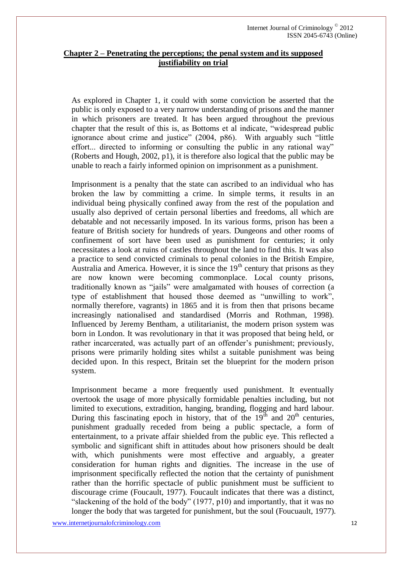## **Chapter 2 – Penetrating the perceptions; the penal system and its supposed justifiability on trial**

As explored in Chapter 1, it could with some conviction be asserted that the public is only exposed to a very narrow understanding of prisons and the manner in which prisoners are treated. It has been argued throughout the previous chapter that the result of this is, as Bottoms et al indicate, "widespread public ignorance about crime and justice" (2004, p86). With arguably such "little effort... directed to informing or consulting the public in any rational way" (Roberts and Hough, 2002, p1), it is therefore also logical that the public may be unable to reach a fairly informed opinion on imprisonment as a punishment.

Imprisonment is a penalty that the state can ascribed to an individual who has broken the law by committing a crime. In simple terms, it results in an individual being physically confined away from the rest of the population and usually also deprived of certain personal liberties and freedoms, all which are debatable and not necessarily imposed. In its various forms, prison has been a feature of British society for hundreds of years. Dungeons and other rooms of confinement of sort have been used as punishment for centuries; it only necessitates a look at ruins of castles throughout the land to find this. It was also a practice to send convicted criminals to penal colonies in the British Empire, Australia and America. However, it is since the  $19<sup>th</sup>$  century that prisons as they are now known were becoming commonplace. Local county prisons, traditionally known as "jails" were amalgamated with houses of correction (a type of establishment that housed those deemed as "unwilling to work", normally therefore, vagrants) in 1865 and it is from then that prisons became increasingly nationalised and standardised (Morris and Rothman, 1998). Influenced by Jeremy Bentham, a utilitarianist, the modern prison system was born in London. It was revolutionary in that it was proposed that being held, or rather incarcerated, was actually part of an offender's punishment; previously, prisons were primarily holding sites whilst a suitable punishment was being decided upon. In this respect, Britain set the blueprint for the modern prison system.

Imprisonment became a more frequently used punishment. It eventually overtook the usage of more physically formidable penalties including, but not limited to executions, extradition, hanging, branding, flogging and hard labour. During this fascinating epoch in history, that of the  $19<sup>th</sup>$  and  $20<sup>th</sup>$  centuries, punishment gradually receded from being a public spectacle, a form of entertainment, to a private affair shielded from the public eye. This reflected a symbolic and significant shift in attitudes about how prisoners should be dealt with, which punishments were most effective and arguably, a greater consideration for human rights and dignities. The increase in the use of imprisonment specifically reflected the notion that the certainty of punishment rather than the horrific spectacle of public punishment must be sufficient to discourage crime (Foucault, 1977). Foucault indicates that there was a distinct, "slackening of the hold of the body" (1977, p10) and importantly, that it was no longer the body that was targeted for punishment, but the soul (Foucuault, 1977).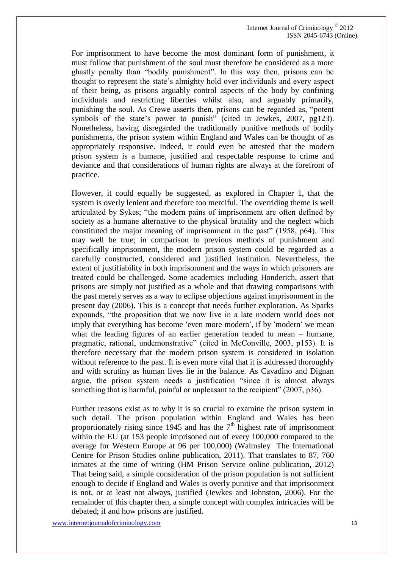Internet Journal of Criminology © 2012 ISSN 2045-6743 (Online)

For imprisonment to have become the most dominant form of punishment, it must follow that punishment of the soul must therefore be considered as a more ghastly penalty than "bodily punishment". In this way then, prisons can be thought to represent the state's almighty hold over individuals and every aspect of their being, as prisons arguably control aspects of the body by confining individuals and restricting liberties whilst also, and arguably primarily, punishing the soul. As Crewe asserts then, prisons can be regarded as, "potent symbols of the state's power to punish" (cited in Jewkes, 2007, pg123). Nonetheless, having disregarded the traditionally punitive methods of bodily punishments, the prison system within England and Wales can be thought of as appropriately responsive. Indeed, it could even be attested that the modern prison system is a humane, justified and respectable response to crime and deviance and that considerations of human rights are always at the forefront of practice.

However, it could equally be suggested, as explored in Chapter 1, that the system is overly lenient and therefore too merciful. The overriding theme is well articulated by Sykes; "the modern pains of imprisonment are often defined by society as a humane alternative to the physical brutality and the neglect which constituted the major meaning of imprisonment in the past" (1958, p64). This may well be true; in comparison to previous methods of punishment and specifically imprisonment, the modern prison system could be regarded as a carefully constructed, considered and justified institution. Nevertheless, the extent of justifiability in both imprisonment and the ways in which prisoners are treated could be challenged. Some academics including Honderich, assert that prisons are simply not justified as a whole and that drawing comparisons with the past merely serves as a way to eclipse objections against imprisonment in the present day (2006). This is a concept that needs further exploration. As Sparks expounds, "the proposition that we now live in a late modern world does not imply that everything has become 'even more modern', if by 'modern' we mean what the leading figures of an earlier generation tended to mean – humane, pragmatic, rational, undemonstrative" (cited in McConville, 2003, p153). It is therefore necessary that the modern prison system is considered in isolation without reference to the past. It is even more vital that it is addressed thoroughly and with scrutiny as human lives lie in the balance. As Cavadino and Dignan argue, the prison system needs a justification "since it is almost always something that is harmful, painful or unpleasant to the recipient" (2007, p36).

Further reasons exist as to why it is so crucial to examine the prison system in such detail. The prison population within England and Wales has been proportionately rising since 1945 and has the  $7<sup>th</sup>$  highest rate of imprisonment within the EU (at 153 people imprisoned out of every 100,000 compared to the average for Western Europe at 96 per 100,000) (Walmsley The International Centre for Prison Studies online publication, 2011). That translates to 87, 760 inmates at the time of writing (HM Prison Service online publication, 2012) That being said, a simple consideration of the prison population is not sufficient enough to decide if England and Wales is overly punitive and that imprisonment is not, or at least not always, justified (Jewkes and Johnston, 2006). For the remainder of this chapter then, a simple concept with complex intricacies will be debated; if and how prisons are justified.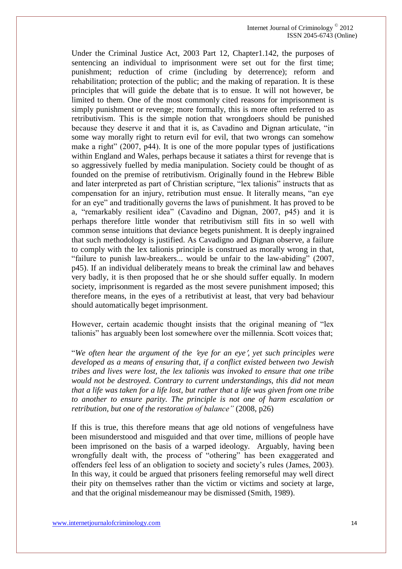Under the Criminal Justice Act, 2003 Part 12, Chapter1.142, the purposes of sentencing an individual to imprisonment were set out for the first time; punishment; reduction of crime (including by deterrence); reform and rehabilitation; protection of the public; and the making of reparation. It is these principles that will guide the debate that is to ensue. It will not however, be limited to them. One of the most commonly cited reasons for imprisonment is simply punishment or revenge; more formally, this is more often referred to as retributivism. This is the simple notion that wrongdoers should be punished because they deserve it and that it is, as Cavadino and Dignan articulate, "in some way morally right to return evil for evil, that two wrongs can somehow make a right" (2007, p44). It is one of the more popular types of justifications within England and Wales, perhaps because it satiates a thirst for revenge that is so aggressively fuelled by media manipulation. Society could be thought of as founded on the premise of retributivism. Originally found in the Hebrew Bible and later interpreted as part of Christian scripture, "lex talionis" instructs that as compensation for an injury, retribution must ensue. It literally means, "an eye for an eye" and traditionally governs the laws of punishment. It has proved to be a, "remarkably resilient idea" (Cavadino and Dignan, 2007, p45) and it is perhaps therefore little wonder that retributivism still fits in so well with common sense intuitions that deviance begets punishment. It is deeply ingrained that such methodology is justified. As Cavadigno and Dignan observe, a failure to comply with the lex talionis principle is construed as morally wrong in that, "failure to punish law-breakers... would be unfair to the law-abiding" (2007, p45). If an individual deliberately means to break the criminal law and behaves very badly, it is then proposed that he or she should suffer equally. In modern society, imprisonment is regarded as the most severe punishment imposed; this therefore means, in the eyes of a retributivist at least, that very bad behaviour should automatically beget imprisonment.

However, certain academic thought insists that the original meaning of "lex talionis" has arguably been lost somewhere over the millennia. Scott voices that;

"*We often hear the argument of the eye for an eye, yet such principles were developed as a means of ensuring that, if a conflict existed between two Jewish tribes and lives were lost, the lex talionis was invoked to ensure that one tribe would not be destroyed. Contrary to current understandings, this did not mean that a life was taken for a life lost, but rather that a life was given from one tribe to another to ensure parity. The principle is not one of harm escalation or retribution, but one of the restoration of balance"* (2008, p26)

If this is true, this therefore means that age old notions of vengefulness have been misunderstood and misguided and that over time, millions of people have been imprisoned on the basis of a warped ideology. Arguably, having been wrongfully dealt with, the process of "othering" has been exaggerated and offenders feel less of an obligation to society and society's rules (James, 2003). In this way, it could be argued that prisoners feeling remorseful may well direct their pity on themselves rather than the victim or victims and society at large, and that the original misdemeanour may be dismissed (Smith, 1989).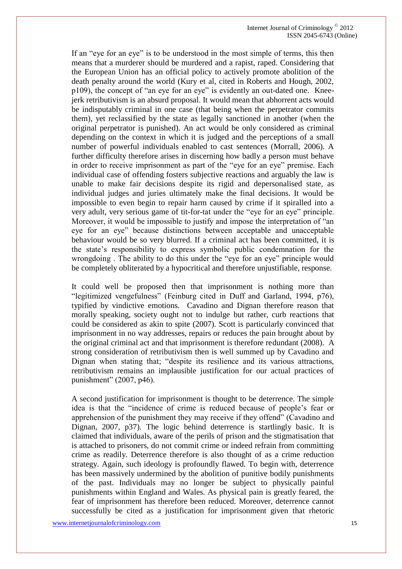If an "eye for an eye" is to be understood in the most simple of terms, this then means that a murderer should be murdered and a rapist, raped. Considering that the European Union has an official policy to actively promote abolition of the death penalty around the world (Kury et al, cited in Roberts and Hough, 2002, p109), the concept of "an eye for an eye" is evidently an out-dated one. Kneejerk retributivism is an absurd proposal. It would mean that abhorrent acts would be indisputably criminal in one case (that being when the perpetrator commits them), yet reclassified by the state as legally sanctioned in another (when the original perpetrator is punished). An act would be only considered as criminal depending on the context in which it is judged and the perceptions of a small number of powerful individuals enabled to cast sentences (Morrall, 2006). A further difficulty therefore arises in discerning how badly a person must behave in order to receive imprisonment as part of the "eye for an eye" premise. Each individual case of offending fosters subjective reactions and arguably the law is unable to make fair decisions despite its rigid and depersonalised state, as individual judges and juries ultimately make the final decisions. It would be impossible to even begin to repair harm caused by crime if it spiralled into a very adult, very serious game of tit-for-tat under the "eye for an eye" principle. Moreover, it would be impossible to justify and impose the interpretation of "an eye for an eye" because distinctions between acceptable and unacceptable behaviour would be so very blurred. If a criminal act has been committed, it is the state's responsibility to express symbolic public condemnation for the wrongdoing . The ability to do this under the "eye for an eye" principle would be completely obliterated by a hypocritical and therefore unjustifiable, response.

It could well be proposed then that imprisonment is nothing more than "legitimized vengefulness" (Feinburg cited in Duff and Garland, 1994, p76), typified by vindictive emotions. Cavadino and Dignan therefore reason that morally speaking, society ought not to indulge but rather, curb reactions that could be considered as akin to spite (2007). Scott is particularly convinced that imprisonment in no way addresses, repairs or reduces the pain brought about by the original criminal act and that imprisonment is therefore redundant (2008). A strong consideration of retributivism then is well summed up by Cavadino and Dignan when stating that; "despite its resilience and its various attractions, retributivism remains an implausible justification for our actual practices of punishment" (2007, p46).

A second justification for imprisonment is thought to be deterrence. The simple idea is that the "incidence of crime is reduced because of people's fear or apprehension of the punishment they may receive if they offend" (Cavadino and Dignan, 2007, p37). The logic behind deterrence is startlingly basic. It is claimed that individuals, aware of the perils of prison and the stigmatisation that is attached to prisoners, do not commit crime or indeed refrain from committing crime as readily. Deterrence therefore is also thought of as a crime reduction strategy. Again, such ideology is profoundly flawed. To begin with, deterrence has been massively undermined by the abolition of punitive bodily punishments of the past. Individuals may no longer be subject to physically painful punishments within England and Wales. As physical pain is greatly feared, the fear of imprisonment has therefore been reduced. Moreover, deterrence cannot successfully be cited as a justification for imprisonment given that rhetoric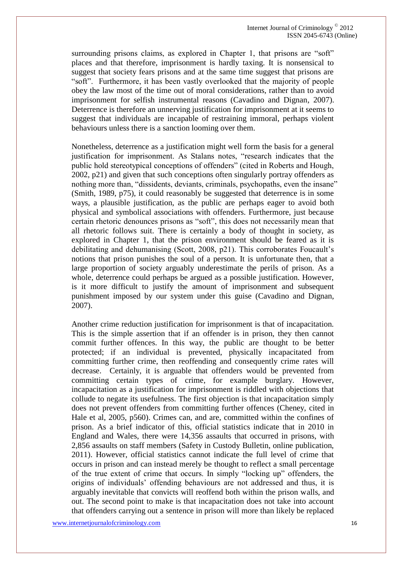surrounding prisons claims, as explored in Chapter 1, that prisons are "soft" places and that therefore, imprisonment is hardly taxing. It is nonsensical to suggest that society fears prisons and at the same time suggest that prisons are "soft". Furthermore, it has been vastly overlooked that the majority of people obey the law most of the time out of moral considerations, rather than to avoid imprisonment for selfish instrumental reasons (Cavadino and Dignan, 2007). Deterrence is therefore an unnerving justification for imprisonment at it seems to suggest that individuals are incapable of restraining immoral, perhaps violent behaviours unless there is a sanction looming over them.

Nonetheless, deterrence as a justification might well form the basis for a general justification for imprisonment. As Stalans notes, "research indicates that the public hold stereotypical conceptions of offenders" (cited in Roberts and Hough, 2002, p21) and given that such conceptions often singularly portray offenders as nothing more than, "dissidents, deviants, criminals, psychopaths, even the insane" (Smith, 1989, p75), it could reasonably be suggested that deterrence is in some ways, a plausible justification, as the public are perhaps eager to avoid both physical and symbolical associations with offenders. Furthermore, just because certain rhetoric denounces prisons as "soft", this does not necessarily mean that all rhetoric follows suit. There is certainly a body of thought in society, as explored in Chapter 1, that the prison environment should be feared as it is debilitating and dehumanising (Scott, 2008, p21). This corroborates Foucault's notions that prison punishes the soul of a person. It is unfortunate then, that a large proportion of society arguably underestimate the perils of prison. As a whole, deterrence could perhaps be argued as a possible justification. However, is it more difficult to justify the amount of imprisonment and subsequent punishment imposed by our system under this guise (Cavadino and Dignan, 2007).

Another crime reduction justification for imprisonment is that of incapacitation. This is the simple assertion that if an offender is in prison, they then cannot commit further offences. In this way, the public are thought to be better protected; if an individual is prevented, physically incapacitated from committing further crime, then reoffending and consequently crime rates will decrease. Certainly, it is arguable that offenders would be prevented from committing certain types of crime, for example burglary. However, incapacitation as a justification for imprisonment is riddled with objections that collude to negate its usefulness. The first objection is that incapacitation simply does not prevent offenders from committing further offences (Cheney, cited in Hale et al, 2005, p560). Crimes can, and are, committed within the confines of prison. As a brief indicator of this, official statistics indicate that in 2010 in England and Wales, there were 14,356 assaults that occurred in prisons, with 2,856 assaults on staff members (Safety in Custody Bulletin, online publication, 2011). However, official statistics cannot indicate the full level of crime that occurs in prison and can instead merely be thought to reflect a small percentage of the true extent of crime that occurs. In simply "locking up" offenders, the origins of individuals' offending behaviours are not addressed and thus, it is arguably inevitable that convicts will reoffend both within the prison walls, and out. The second point to make is that incapacitation does not take into account that offenders carrying out a sentence in prison will more than likely be replaced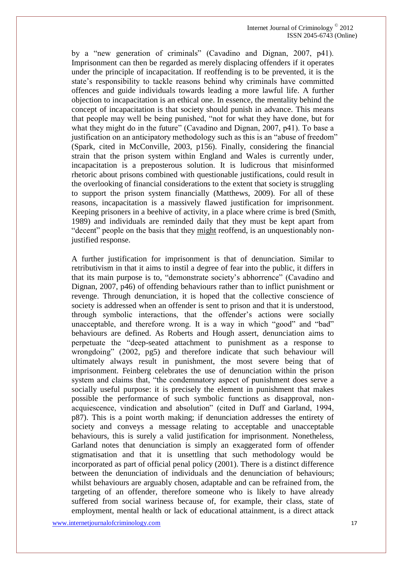by a "new generation of criminals" (Cavadino and Dignan, 2007, p41). Imprisonment can then be regarded as merely displacing offenders if it operates under the principle of incapacitation. If reoffending is to be prevented, it is the state's responsibility to tackle reasons behind why criminals have committed offences and guide individuals towards leading a more lawful life. A further objection to incapacitation is an ethical one. In essence, the mentality behind the concept of incapacitation is that society should punish in advance. This means that people may well be being punished, "not for what they have done, but for what they might do in the future" (Cavadino and Dignan, 2007, p41). To base a justification on an anticipatory methodology such as this is an "abuse of freedom" (Spark, cited in McConville, 2003, p156). Finally, considering the financial strain that the prison system within England and Wales is currently under, incapacitation is a preposterous solution. It is ludicrous that misinformed rhetoric about prisons combined with questionable justifications, could result in the overlooking of financial considerations to the extent that society is struggling to support the prison system financially (Matthews, 2009). For all of these reasons, incapacitation is a massively flawed justification for imprisonment. Keeping prisoners in a beehive of activity, in a place where crime is bred (Smith, 1989) and individuals are reminded daily that they must be kept apart from "decent" people on the basis that they might reoffend, is an unquestionably nonjustified response.

A further justification for imprisonment is that of denunciation. Similar to retributivism in that it aims to instil a degree of fear into the public, it differs in that its main purpose is to, "demonstrate society's abhorrence" (Cavadino and Dignan, 2007, p46) of offending behaviours rather than to inflict punishment or revenge. Through denunciation, it is hoped that the collective conscience of society is addressed when an offender is sent to prison and that it is understood, through symbolic interactions, that the offender's actions were socially unacceptable, and therefore wrong. It is a way in which "good" and "bad" behaviours are defined. As Roberts and Hough assert, denunciation aims to perpetuate the "deep-seated attachment to punishment as a response to wrongdoing" (2002, pg5) and therefore indicate that such behaviour will ultimately always result in punishment, the most severe being that of imprisonment. Feinberg celebrates the use of denunciation within the prison system and claims that, "the condemnatory aspect of punishment does serve a socially useful purpose: it is precisely the element in punishment that makes possible the performance of such symbolic functions as disapproval, nonacquiescence, vindication and absolution" (cited in Duff and Garland, 1994, p87). This is a point worth making; if denunciation addresses the entirety of society and conveys a message relating to acceptable and unacceptable behaviours, this is surely a valid justification for imprisonment. Nonetheless, Garland notes that denunciation is simply an exaggerated form of offender stigmatisation and that it is unsettling that such methodology would be incorporated as part of official penal policy (2001). There is a distinct difference between the denunciation of individuals and the denunciation of behaviours; whilst behaviours are arguably chosen, adaptable and can be refrained from, the targeting of an offender, therefore someone who is likely to have already suffered from social wariness because of, for example, their class, state of employment, mental health or lack of educational attainment, is a direct attack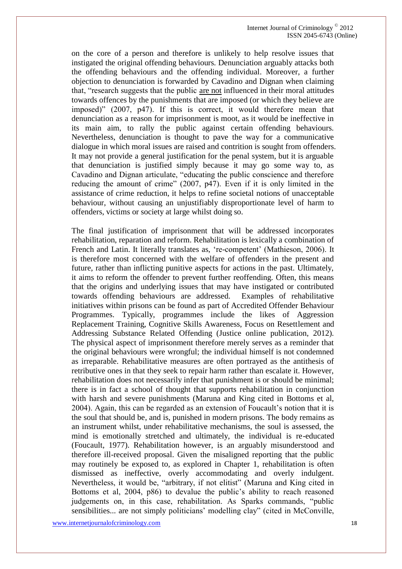on the core of a person and therefore is unlikely to help resolve issues that instigated the original offending behaviours. Denunciation arguably attacks both the offending behaviours and the offending individual. Moreover, a further objection to denunciation is forwarded by Cavadino and Dignan when claiming that, "research suggests that the public are not influenced in their moral attitudes towards offences by the punishments that are imposed (or which they believe are imposed)" (2007, p47). If this is correct, it would therefore mean that denunciation as a reason for imprisonment is moot, as it would be ineffective in its main aim, to rally the public against certain offending behaviours. Nevertheless, denunciation is thought to pave the way for a communicative dialogue in which moral issues are raised and contrition is sought from offenders. It may not provide a general justification for the penal system, but it is arguable that denunciation is justified simply because it may go some way to, as Cavadino and Dignan articulate, "educating the public conscience and therefore reducing the amount of crime" (2007, p47). Even if it is only limited in the assistance of crime reduction, it helps to refine societal notions of unacceptable behaviour, without causing an unjustifiably disproportionate level of harm to offenders, victims or society at large whilst doing so.

The final justification of imprisonment that will be addressed incorporates rehabilitation, reparation and reform. Rehabilitation is lexically a combination of French and Latin. It literally translates as, 're-competent' (Mathieson, 2006). It is therefore most concerned with the welfare of offenders in the present and future, rather than inflicting punitive aspects for actions in the past. Ultimately, it aims to reform the offender to prevent further reoffending. Often, this means that the origins and underlying issues that may have instigated or contributed towards offending behaviours are addressed. Examples of rehabilitative initiatives within prisons can be found as part of Accredited Offender Behaviour Programmes. Typically, programmes include the likes of Aggression Replacement Training, Cognitive Skills Awareness, Focus on Resettlement and Addressing Substance Related Offending (Justice online publication, 2012). The physical aspect of imprisonment therefore merely serves as a reminder that the original behaviours were wrongful; the individual himself is not condemned as irreparable. Rehabilitative measures are often portrayed as the antithesis of retributive ones in that they seek to repair harm rather than escalate it. However, rehabilitation does not necessarily infer that punishment is or should be minimal; there is in fact a school of thought that supports rehabilitation in conjunction with harsh and severe punishments (Maruna and King cited in Bottoms et al, 2004). Again, this can be regarded as an extension of Foucault's notion that it is the soul that should be, and is, punished in modern prisons. The body remains as an instrument whilst, under rehabilitative mechanisms, the soul is assessed, the mind is emotionally stretched and ultimately, the individual is re-educated (Foucault, 1977). Rehabilitation however, is an arguably misunderstood and therefore ill-received proposal. Given the misaligned reporting that the public may routinely be exposed to, as explored in Chapter 1, rehabilitation is often dismissed as ineffective, overly accommodating and overly indulgent. Nevertheless, it would be, "arbitrary, if not elitist" (Maruna and King cited in Bottoms et al, 2004, p86) to devalue the public's ability to reach reasoned judgements on, in this case, rehabilitation. As Sparks commands, "public sensibilities... are not simply politicians' modelling clay" (cited in McConville,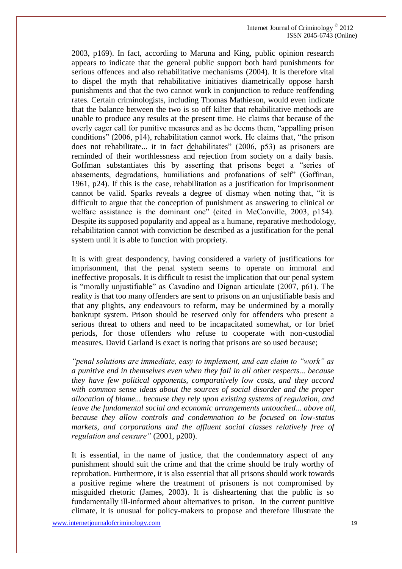2003, p169). In fact, according to Maruna and King, public opinion research appears to indicate that the general public support both hard punishments for serious offences and also rehabilitative mechanisms (2004). It is therefore vital to dispel the myth that rehabilitative initiatives diametrically oppose harsh punishments and that the two cannot work in conjunction to reduce reoffending rates. Certain criminologists, including Thomas Mathieson, would even indicate that the balance between the two is so off kilter that rehabilitative methods are unable to produce any results at the present time. He claims that because of the overly eager call for punitive measures and as he deems them, "appalling prison conditions" (2006, p14), rehabilitation cannot work. He claims that, "the prison does not rehabilitate... it in fact dehabilitates" (2006, p53) as prisoners are reminded of their worthlessness and rejection from society on a daily basis. Goffman substantiates this by asserting that prisons beget a "series of abasements, degradations, humiliations and profanations of self" (Goffman, 1961, p24). If this is the case, rehabilitation as a justification for imprisonment cannot be valid. Sparks reveals a degree of dismay when noting that, "it is difficult to argue that the conception of punishment as answering to clinical or welfare assistance is the dominant one" (cited in McConville, 2003, p154). Despite its supposed popularity and appeal as a humane, reparative methodology, rehabilitation cannot with conviction be described as a justification for the penal system until it is able to function with propriety.

It is with great despondency, having considered a variety of justifications for imprisonment, that the penal system seems to operate on immoral and ineffective proposals. It is difficult to resist the implication that our penal system is "morally unjustifiable" as Cavadino and Dignan articulate (2007, p61). The reality is that too many offenders are sent to prisons on an unjustifiable basis and that any plights, any endeavours to reform, may be undermined by a morally bankrupt system. Prison should be reserved only for offenders who present a serious threat to others and need to be incapacitated somewhat, or for brief periods, for those offenders who refuse to cooperate with non-custodial measures. David Garland is exact is noting that prisons are so used because;

*"penal solutions are immediate, easy to implement, and can claim to "work" as a punitive end in themselves even when they fail in all other respects... because they have few political opponents, comparatively low costs, and they accord with common sense ideas about the sources of social disorder and the proper allocation of blame... because they rely upon existing systems of regulation, and leave the fundamental social and economic arrangements untouched... above all, because they allow controls and condemnation to be focused on low-status markets, and corporations and the affluent social classes relatively free of regulation and censure"* (2001, p200).

It is essential, in the name of justice, that the condemnatory aspect of any punishment should suit the crime and that the crime should be truly worthy of reprobation. Furthermore, it is also essential that all prisons should work towards a positive regime where the treatment of prisoners is not compromised by misguided rhetoric (James, 2003). It is disheartening that the public is so fundamentally ill-informed about alternatives to prison. In the current punitive climate, it is unusual for policy-makers to propose and therefore illustrate the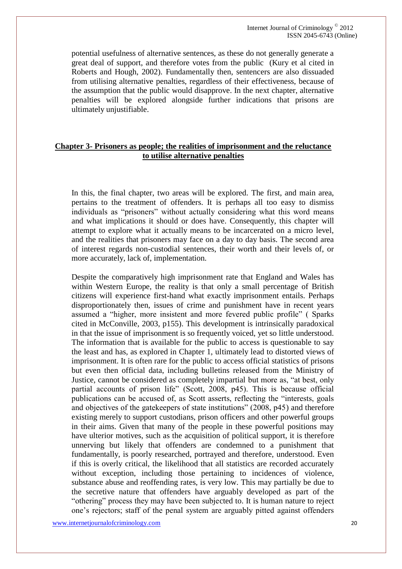Internet Journal of Criminology © 2012 ISSN 2045-6743 (Online)

potential usefulness of alternative sentences, as these do not generally generate a great deal of support, and therefore votes from the public (Kury et al cited in Roberts and Hough, 2002). Fundamentally then, sentencers are also dissuaded from utilising alternative penalties, regardless of their effectiveness, because of the assumption that the public would disapprove. In the next chapter, alternative penalties will be explored alongside further indications that prisons are ultimately unjustifiable.

## **Chapter 3- Prisoners as people; the realities of imprisonment and the reluctance to utilise alternative penalties**

In this, the final chapter, two areas will be explored. The first, and main area, pertains to the treatment of offenders. It is perhaps all too easy to dismiss individuals as "prisoners" without actually considering what this word means and what implications it should or does have. Consequently, this chapter will attempt to explore what it actually means to be incarcerated on a micro level, and the realities that prisoners may face on a day to day basis. The second area of interest regards non-custodial sentences, their worth and their levels of, or more accurately, lack of, implementation.

Despite the comparatively high imprisonment rate that England and Wales has within Western Europe, the reality is that only a small percentage of British citizens will experience first-hand what exactly imprisonment entails. Perhaps disproportionately then, issues of crime and punishment have in recent years assumed a "higher, more insistent and more fevered public profile" ( Sparks cited in McConville, 2003, p155). This development is intrinsically paradoxical in that the issue of imprisonment is so frequently voiced, yet so little understood. The information that is available for the public to access is questionable to say the least and has, as explored in Chapter 1, ultimately lead to distorted views of imprisonment. It is often rare for the public to access official statistics of prisons but even then official data, including bulletins released from the Ministry of Justice, cannot be considered as completely impartial but more as, "at best, only partial accounts of prison life" (Scott, 2008, p45). This is because official publications can be accused of, as Scott asserts, reflecting the "interests, goals and objectives of the gatekeepers of state institutions" (2008, p45) and therefore existing merely to support custodians, prison officers and other powerful groups in their aims. Given that many of the people in these powerful positions may have ulterior motives, such as the acquisition of political support, it is therefore unnerving but likely that offenders are condemned to a punishment that fundamentally, is poorly researched, portrayed and therefore, understood. Even if this is overly critical, the likelihood that all statistics are recorded accurately without exception, including those pertaining to incidences of violence, substance abuse and reoffending rates, is very low. This may partially be due to the secretive nature that offenders have arguably developed as part of the "othering" process they may have been subjected to. It is human nature to reject one's rejectors; staff of the penal system are arguably pitted against offenders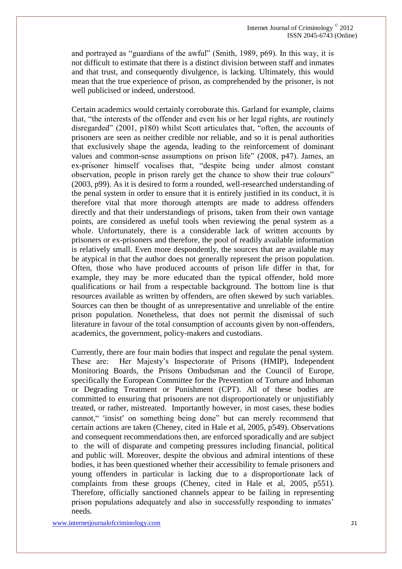and portrayed as "guardians of the awful" (Smith, 1989, p69). In this way, it is not difficult to estimate that there is a distinct division between staff and inmates and that trust, and consequently divulgence, is lacking. Ultimately, this would mean that the true experience of prison, as comprehended by the prisoner, is not well publicised or indeed, understood.

Certain academics would certainly corroborate this. Garland for example, claims that, "the interests of the offender and even his or her legal rights, are routinely disregarded" (2001, p180) whilst Scott articulates that, "often, the accounts of prisoners are seen as neither credible nor reliable, and so it is penal authorities that exclusively shape the agenda, leading to the reinforcement of dominant values and common-sense assumptions on prison life" (2008, p47). James, an ex-prisoner himself vocalises that, "despite being under almost constant observation, people in prison rarely get the chance to show their true colours" (2003, p99). As it is desired to form a rounded, well-researched understanding of the penal system in order to ensure that it is entirely justified in its conduct, it is therefore vital that more thorough attempts are made to address offenders directly and that their understandings of prisons, taken from their own vantage points, are considered as useful tools when reviewing the penal system as a whole. Unfortunately, there is a considerable lack of written accounts by prisoners or ex-prisoners and therefore, the pool of readily available information is relatively small. Even more despondently, the sources that are available may be atypical in that the author does not generally represent the prison population. Often, those who have produced accounts of prison life differ in that, for example, they may be more educated than the typical offender, hold more qualifications or hail from a respectable background. The bottom line is that resources available as written by offenders, are often skewed by such variables. Sources can then be thought of as unrepresentative and unreliable of the entire prison population. Nonetheless, that does not permit the dismissal of such literature in favour of the total consumption of accounts given by non-offenders, academics, the government, policy-makers and custodians.

Currently, there are four main bodies that inspect and regulate the penal system. These are: Her Majesty's Inspectorate of Prisons (HMIP), Independent Monitoring Boards, the Prisons Ombudsman and the Council of Europe, specifically the European Committee for the Prevention of Torture and Inhuman or Degrading Treatment or Punishment (CPT). All of these bodies are committed to ensuring that prisoners are not disproportionately or unjustifiably treated, or rather, mistreated. Importantly however, in most cases, these bodies cannot," 'insist' on something being done" but can merely recommend that certain actions are taken (Cheney, cited in Hale et al, 2005, p549). Observations and consequent recommendations then, are enforced sporadically and are subject to the will of disparate and competing pressures including financial, political and public will. Moreover, despite the obvious and admiral intentions of these bodies, it has been questioned whether their accessibility to female prisoners and young offenders in particular is lacking due to a disproportionate lack of complaints from these groups (Cheney, cited in Hale et al, 2005, p551). Therefore, officially sanctioned channels appear to be failing in representing prison populations adequately and also in successfully responding to inmates' needs.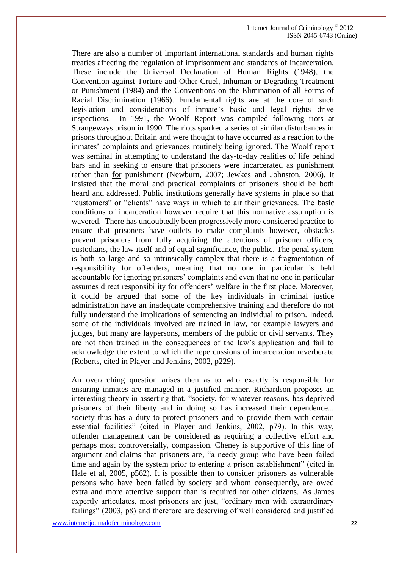There are also a number of important international standards and human rights treaties affecting the regulation of imprisonment and standards of incarceration. These include the Universal Declaration of Human Rights (1948), the Convention against Torture and Other Cruel, Inhuman or Degrading Treatment or Punishment (1984) and the Conventions on the Elimination of all Forms of Racial Discrimination (1966). Fundamental rights are at the core of such legislation and considerations of inmate's basic and legal rights drive inspections. In 1991, the Woolf Report was compiled following riots at Strangeways prison in 1990. The riots sparked a series of similar disturbances in prisons throughout Britain and were thought to have occurred as a reaction to the inmates' complaints and grievances routinely being ignored. The Woolf report was seminal in attempting to understand the day-to-day realities of life behind bars and in seeking to ensure that prisoners were incarcerated as punishment rather than for punishment (Newburn, 2007; Jewkes and Johnston, 2006). It insisted that the moral and practical complaints of prisoners should be both heard and addressed. Public institutions generally have systems in place so that "customers" or "clients" have ways in which to air their grievances. The basic conditions of incarceration however require that this normative assumption is wavered. There has undoubtedly been progressively more considered practice to ensure that prisoners have outlets to make complaints however, obstacles prevent prisoners from fully acquiring the attentions of prisoner officers, custodians, the law itself and of equal significance, the public. The penal system is both so large and so intrinsically complex that there is a fragmentation of responsibility for offenders, meaning that no one in particular is held accountable for ignoring prisoners' complaints and even that no one in particular assumes direct responsibility for offenders' welfare in the first place. Moreover, it could be argued that some of the key individuals in criminal justice administration have an inadequate comprehensive training and therefore do not fully understand the implications of sentencing an individual to prison. Indeed, some of the individuals involved are trained in law, for example lawyers and judges, but many are laypersons, members of the public or civil servants. They are not then trained in the consequences of the law's application and fail to acknowledge the extent to which the repercussions of incarceration reverberate (Roberts, cited in Player and Jenkins, 2002, p229).

An overarching question arises then as to who exactly is responsible for ensuring inmates are managed in a justified manner. Richardson proposes an interesting theory in asserting that, "society, for whatever reasons, has deprived prisoners of their liberty and in doing so has increased their dependence... society thus has a duty to protect prisoners and to provide them with certain essential facilities" (cited in Player and Jenkins, 2002, p79). In this way, offender management can be considered as requiring a collective effort and perhaps most controversially, compassion. Cheney is supportive of this line of argument and claims that prisoners are, "a needy group who have been failed time and again by the system prior to entering a prison establishment" (cited in Hale et al, 2005, p562). It is possible then to consider prisoners as vulnerable persons who have been failed by society and whom consequently, are owed extra and more attentive support than is required for other citizens. As James expertly articulates, most prisoners are just, "ordinary men with extraordinary failings" (2003, p8) and therefore are deserving of well considered and justified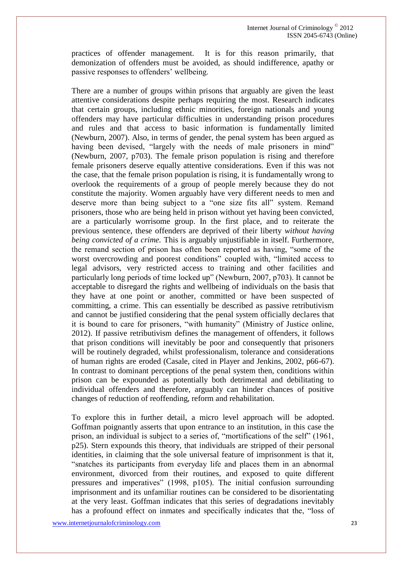practices of offender management. It is for this reason primarily, that demonization of offenders must be avoided, as should indifference, apathy or passive responses to offenders' wellbeing.

There are a number of groups within prisons that arguably are given the least attentive considerations despite perhaps requiring the most. Research indicates that certain groups, including ethnic minorities, foreign nationals and young offenders may have particular difficulties in understanding prison procedures and rules and that access to basic information is fundamentally limited (Newburn, 2007). Also, in terms of gender, the penal system has been argued as having been devised, "largely with the needs of male prisoners in mind" (Newburn, 2007, p703). The female prison population is rising and therefore female prisoners deserve equally attentive considerations. Even if this was not the case, that the female prison population is rising, it is fundamentally wrong to overlook the requirements of a group of people merely because they do not constitute the majority. Women arguably have very different needs to men and deserve more than being subject to a "one size fits all" system. Remand prisoners, those who are being held in prison without yet having been convicted, are a particularly worrisome group. In the first place, and to reiterate the previous sentence, these offenders are deprived of their liberty *without having being convicted of a crime.* This is arguably unjustifiable in itself. Furthermore, the remand section of prison has often been reported as having, "some of the worst overcrowding and poorest conditions" coupled with, "limited access to legal advisors, very restricted access to training and other facilities and particularly long periods of time locked up" (Newburn, 2007, p703). It cannot be acceptable to disregard the rights and wellbeing of individuals on the basis that they have at one point or another, committed or have been suspected of committing, a crime. This can essentially be described as passive retributivism and cannot be justified considering that the penal system officially declares that it is bound to care for prisoners, "with humanity" (Ministry of Justice online, 2012). If passive retributivism defines the management of offenders, it follows that prison conditions will inevitably be poor and consequently that prisoners will be routinely degraded, whilst professionalism, tolerance and considerations of human rights are eroded (Casale, cited in Player and Jenkins, 2002, p66-67). In contrast to dominant perceptions of the penal system then, conditions within prison can be expounded as potentially both detrimental and debilitating to individual offenders and therefore, arguably can hinder chances of positive changes of reduction of reoffending, reform and rehabilitation.

To explore this in further detail, a micro level approach will be adopted. Goffman poignantly asserts that upon entrance to an institution, in this case the prison, an individual is subject to a series of, "mortifications of the self" (1961, p25). Stern expounds this theory, that individuals are stripped of their personal identities, in claiming that the sole universal feature of imprisonment is that it, "snatches its participants from everyday life and places them in an abnormal environment, divorced from their routines, and exposed to quite different pressures and imperatives" (1998, p105). The initial confusion surrounding imprisonment and its unfamiliar routines can be considered to be disorientating at the very least. Goffman indicates that this series of degradations inevitably has a profound effect on inmates and specifically indicates that the, "loss of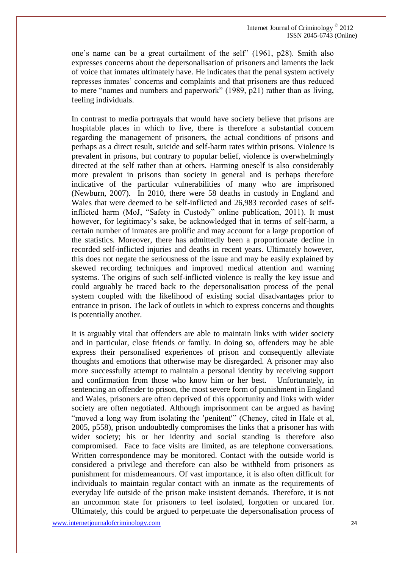one's name can be a great curtailment of the self" (1961, p28). Smith also expresses concerns about the depersonalisation of prisoners and laments the lack of voice that inmates ultimately have. He indicates that the penal system actively represses inmates' concerns and complaints and that prisoners are thus reduced to mere "names and numbers and paperwork" (1989, p21) rather than as living, feeling individuals.

In contrast to media portrayals that would have society believe that prisons are hospitable places in which to live, there is therefore a substantial concern regarding the management of prisoners, the actual conditions of prisons and perhaps as a direct result, suicide and self-harm rates within prisons. Violence is prevalent in prisons, but contrary to popular belief, violence is overwhelmingly directed at the self rather than at others. Harming oneself is also considerably more prevalent in prisons than society in general and is perhaps therefore indicative of the particular vulnerabilities of many who are imprisoned (Newburn, 2007). In 2010, there were 58 deaths in custody in England and Wales that were deemed to be self-inflicted and 26,983 recorded cases of selfinflicted harm (MoJ, "Safety in Custody" online publication, 2011). It must however, for legitimacy's sake, be acknowledged that in terms of self-harm, a certain number of inmates are prolific and may account for a large proportion of the statistics. Moreover, there has admittedly been a proportionate decline in recorded self-inflicted injuries and deaths in recent years. Ultimately however, this does not negate the seriousness of the issue and may be easily explained by skewed recording techniques and improved medical attention and warning systems. The origins of such self-inflicted violence is really the key issue and could arguably be traced back to the depersonalisation process of the penal system coupled with the likelihood of existing social disadvantages prior to entrance in prison. The lack of outlets in which to express concerns and thoughts is potentially another.

It is arguably vital that offenders are able to maintain links with wider society and in particular, close friends or family. In doing so, offenders may be able express their personalised experiences of prison and consequently alleviate thoughts and emotions that otherwise may be disregarded. A prisoner may also more successfully attempt to maintain a personal identity by receiving support and confirmation from those who know him or her best. Unfortunately, in sentencing an offender to prison, the most severe form of punishment in England and Wales, prisoners are often deprived of this opportunity and links with wider society are often negotiated. Although imprisonment can be argued as having "moved a long way from isolating the 'penitent'" (Cheney, cited in Hale et al, 2005, p558), prison undoubtedly compromises the links that a prisoner has with wider society; his or her identity and social standing is therefore also compromised. Face to face visits are limited, as are telephone conversations. Written correspondence may be monitored. Contact with the outside world is considered a privilege and therefore can also be withheld from prisoners as punishment for misdemeanours. Of vast importance, it is also often difficult for individuals to maintain regular contact with an inmate as the requirements of everyday life outside of the prison make insistent demands. Therefore, it is not an uncommon state for prisoners to feel isolated, forgotten or uncared for. Ultimately, this could be argued to perpetuate the depersonalisation process of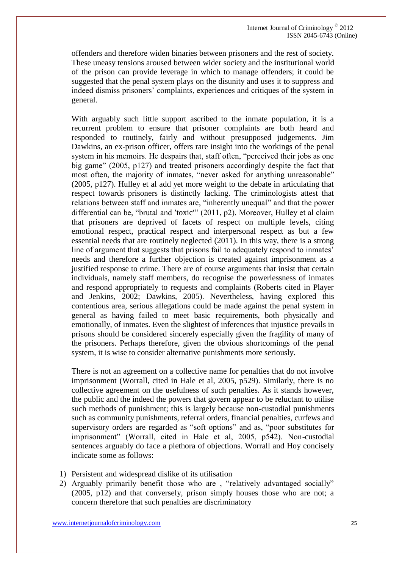offenders and therefore widen binaries between prisoners and the rest of society. These uneasy tensions aroused between wider society and the institutional world of the prison can provide leverage in which to manage offenders; it could be suggested that the penal system plays on the disunity and uses it to suppress and indeed dismiss prisoners' complaints, experiences and critiques of the system in general.

With arguably such little support ascribed to the inmate population, it is a recurrent problem to ensure that prisoner complaints are both heard and responded to routinely, fairly and without presupposed judgements. Jim Dawkins, an ex-prison officer, offers rare insight into the workings of the penal system in his memoirs. He despairs that, staff often, "perceived their jobs as one big game" (2005, p127) and treated prisoners accordingly despite the fact that most often, the majority of inmates, "never asked for anything unreasonable" (2005, p127). Hulley et al add yet more weight to the debate in articulating that respect towards prisoners is distinctly lacking. The criminologists attest that relations between staff and inmates are, "inherently unequal" and that the power differential can be, "brutal and 'toxic'"  $(2011, p2)$ . Moreover, Hulley et al claim that prisoners are deprived of facets of respect on multiple levels, citing emotional respect, practical respect and interpersonal respect as but a few essential needs that are routinely neglected (2011). In this way, there is a strong line of argument that suggests that prisons fail to adequately respond to inmates' needs and therefore a further objection is created against imprisonment as a justified response to crime. There are of course arguments that insist that certain individuals, namely staff members, do recognise the powerlessness of inmates and respond appropriately to requests and complaints (Roberts cited in Player and Jenkins, 2002; Dawkins, 2005). Nevertheless, having explored this contentious area, serious allegations could be made against the penal system in general as having failed to meet basic requirements, both physically and emotionally, of inmates. Even the slightest of inferences that injustice prevails in prisons should be considered sincerely especially given the fragility of many of the prisoners. Perhaps therefore, given the obvious shortcomings of the penal system, it is wise to consider alternative punishments more seriously.

There is not an agreement on a collective name for penalties that do not involve imprisonment (Worrall, cited in Hale et al, 2005, p529). Similarly, there is no collective agreement on the usefulness of such penalties. As it stands however, the public and the indeed the powers that govern appear to be reluctant to utilise such methods of punishment; this is largely because non-custodial punishments such as community punishments, referral orders, financial penalties, curfews and supervisory orders are regarded as "soft options" and as, "poor substitutes for imprisonment" (Worrall, cited in Hale et al, 2005, p542). Non-custodial sentences arguably do face a plethora of objections. Worrall and Hoy concisely indicate some as follows:

- 1) Persistent and widespread dislike of its utilisation
- 2) Arguably primarily benefit those who are , "relatively advantaged socially" (2005, p12) and that conversely, prison simply houses those who are not; a concern therefore that such penalties are discriminatory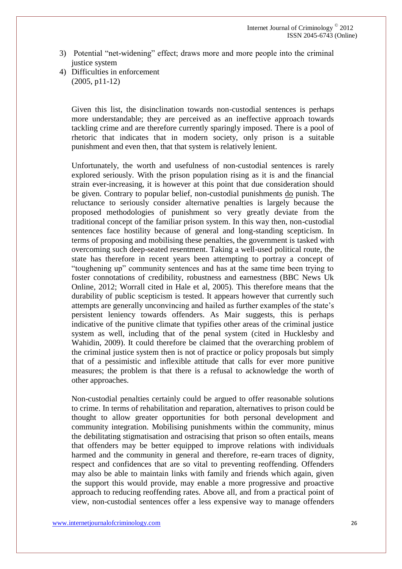- 3) Potential "net-widening" effect; draws more and more people into the criminal justice system
- 4) Difficulties in enforcement (2005, p11-12)

Given this list, the disinclination towards non-custodial sentences is perhaps more understandable; they are perceived as an ineffective approach towards tackling crime and are therefore currently sparingly imposed. There is a pool of rhetoric that indicates that in modern society, only prison is a suitable punishment and even then, that that system is relatively lenient.

Unfortunately, the worth and usefulness of non-custodial sentences is rarely explored seriously. With the prison population rising as it is and the financial strain ever-increasing, it is however at this point that due consideration should be given. Contrary to popular belief, non-custodial punishments do punish. The reluctance to seriously consider alternative penalties is largely because the proposed methodologies of punishment so very greatly deviate from the traditional concept of the familiar prison system. In this way then, non-custodial sentences face hostility because of general and long-standing scepticism. In terms of proposing and mobilising these penalties, the government is tasked with overcoming such deep-seated resentment. Taking a well-used political route, the state has therefore in recent years been attempting to portray a concept of "toughening up" community sentences and has at the same time been trying to foster connotations of credibility, robustness and earnestness (BBC News Uk Online, 2012; Worrall cited in Hale et al, 2005). This therefore means that the durability of public scepticism is tested. It appears however that currently such attempts are generally unconvincing and hailed as further examples of the state's persistent leniency towards offenders. As Mair suggests, this is perhaps indicative of the punitive climate that typifies other areas of the criminal justice system as well, including that of the penal system (cited in Hucklesby and Wahidin, 2009). It could therefore be claimed that the overarching problem of the criminal justice system then is not of practice or policy proposals but simply that of a pessimistic and inflexible attitude that calls for ever more punitive measures; the problem is that there is a refusal to acknowledge the worth of other approaches.

Non-custodial penalties certainly could be argued to offer reasonable solutions to crime. In terms of rehabilitation and reparation, alternatives to prison could be thought to allow greater opportunities for both personal development and community integration. Mobilising punishments within the community, minus the debilitating stigmatisation and ostracising that prison so often entails, means that offenders may be better equipped to improve relations with individuals harmed and the community in general and therefore, re-earn traces of dignity, respect and confidences that are so vital to preventing reoffending. Offenders may also be able to maintain links with family and friends which again, given the support this would provide, may enable a more progressive and proactive approach to reducing reoffending rates. Above all, and from a practical point of view, non-custodial sentences offer a less expensive way to manage offenders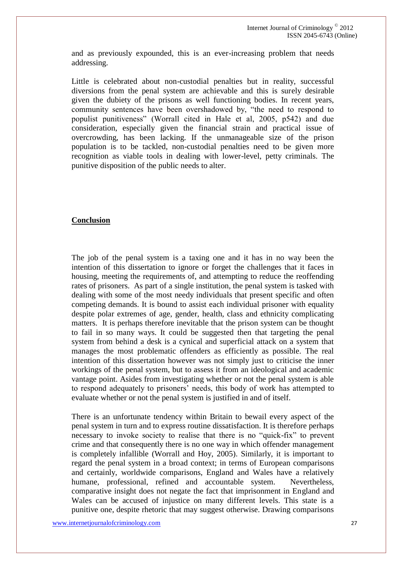and as previously expounded, this is an ever-increasing problem that needs addressing.

Little is celebrated about non-custodial penalties but in reality, successful diversions from the penal system are achievable and this is surely desirable given the dubiety of the prisons as well functioning bodies. In recent years, community sentences have been overshadowed by, "the need to respond to populist punitiveness" (Worrall cited in Hale et al, 2005, p542) and due consideration, especially given the financial strain and practical issue of overcrowding, has been lacking. If the unmanageable size of the prison population is to be tackled, non-custodial penalties need to be given more recognition as viable tools in dealing with lower-level, petty criminals. The punitive disposition of the public needs to alter.

## **Conclusion**

The job of the penal system is a taxing one and it has in no way been the intention of this dissertation to ignore or forget the challenges that it faces in housing, meeting the requirements of, and attempting to reduce the reoffending rates of prisoners. As part of a single institution, the penal system is tasked with dealing with some of the most needy individuals that present specific and often competing demands. It is bound to assist each individual prisoner with equality despite polar extremes of age, gender, health, class and ethnicity complicating matters. It is perhaps therefore inevitable that the prison system can be thought to fail in so many ways. It could be suggested then that targeting the penal system from behind a desk is a cynical and superficial attack on a system that manages the most problematic offenders as efficiently as possible. The real intention of this dissertation however was not simply just to criticise the inner workings of the penal system, but to assess it from an ideological and academic vantage point. Asides from investigating whether or not the penal system is able to respond adequately to prisoners' needs, this body of work has attempted to evaluate whether or not the penal system is justified in and of itself.

There is an unfortunate tendency within Britain to bewail every aspect of the penal system in turn and to express routine dissatisfaction. It is therefore perhaps necessary to invoke society to realise that there is no "quick-fix" to prevent crime and that consequently there is no one way in which offender management is completely infallible (Worrall and Hoy, 2005). Similarly, it is important to regard the penal system in a broad context; in terms of European comparisons and certainly, worldwide comparisons, England and Wales have a relatively humane, professional, refined and accountable system. Nevertheless, comparative insight does not negate the fact that imprisonment in England and Wales can be accused of injustice on many different levels. This state is a punitive one, despite rhetoric that may suggest otherwise. Drawing comparisons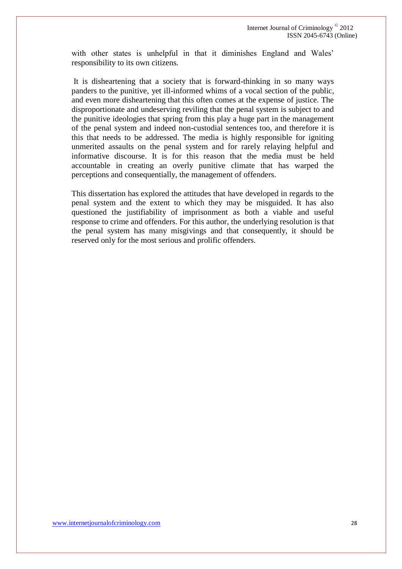with other states is unhelpful in that it diminishes England and Wales' responsibility to its own citizens.

It is disheartening that a society that is forward-thinking in so many ways panders to the punitive, yet ill-informed whims of a vocal section of the public, and even more disheartening that this often comes at the expense of justice. The disproportionate and undeserving reviling that the penal system is subject to and the punitive ideologies that spring from this play a huge part in the management of the penal system and indeed non-custodial sentences too, and therefore it is this that needs to be addressed. The media is highly responsible for igniting unmerited assaults on the penal system and for rarely relaying helpful and informative discourse. It is for this reason that the media must be held accountable in creating an overly punitive climate that has warped the perceptions and consequentially, the management of offenders.

This dissertation has explored the attitudes that have developed in regards to the penal system and the extent to which they may be misguided. It has also questioned the justifiability of imprisonment as both a viable and useful response to crime and offenders. For this author, the underlying resolution is that the penal system has many misgivings and that consequently, it should be reserved only for the most serious and prolific offenders.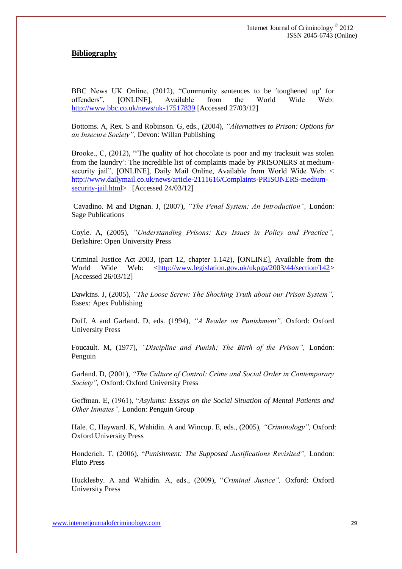## **Bibliography**

BBC News UK Online, (2012), "Community sentences to be 'toughened up' for offenders", [ONLINE], Available from the World Wide Web: <http://www.bbc.co.uk/news/uk-17517839> [Accessed 27/03/12]

Bottoms. A, Rex. S and Robinson. G, eds., (2004), *"Alternatives to Prison: Options for an Insecure Society",* Devon: Willan Publishing

Brooke., C, (2012), "The quality of hot chocolate is poor and my tracksuit was stolen from the laundry: The incredible list of complaints made by PRISONERS at mediumsecurity jail", [ONLINE], Daily Mail Online, Available from World Wide Web: < [http://www.dailymail.co.uk/news/article-2111616/Complaints-PRISONERS-medium](http://www.dailymail.co.uk/news/article-2111616/Complaints-PRISONERS-medium-security-jail.html)[security-jail.html>](http://www.dailymail.co.uk/news/article-2111616/Complaints-PRISONERS-medium-security-jail.html) [Accessed 24/03/12]

Cavadino. M and Dignan. J, (2007), *"The Penal System: An Introduction",* London: Sage Publications

Coyle. A, (2005), *"Understanding Prisons: Key Issues in Policy and Practice",*  Berkshire: Open University Press

Criminal Justice Act 2003, (part 12, chapter 1.142), [ONLINE], Available from the World Wide Web:  $\langle \frac{\text{http://www.legislation.gov.uk/ukpga/2003/44/section/142}}{\text{http://www.legislation.gov.uk/ukpga/2003/44/section/142}}$ [Accessed 26/03/12]

Dawkins. J, (2005), *"The Loose Screw: The Shocking Truth about our Prison System",*  Essex: Apex Publishing

Duff. A and Garland. D, eds. (1994), *"A Reader on Punishment",* Oxford: Oxford University Press

Foucault. M, (1977), *"Discipline and Punish; The Birth of the Prison",* London: Penguin

Garland. D, (2001), *"The Culture of Control: Crime and Social Order in Contemporary Society",* Oxford: Oxford University Press

Goffman. E, (1961), "*Asylums: Essays on the Social Situation of Mental Patients and Other Inmates",* London: Penguin Group

Hale. C, Hayward. K, Wahidin. A and Wincup. E, eds., (2005), *"Criminology",* Oxford: Oxford University Press

Honderich. T, (2006), "*Punishment: The Supposed Justifications Revisited",* London: Pluto Press

Hucklesby. A and Wahidin. A, eds., (2009), "*Criminal Justice",* Oxford: Oxford University Press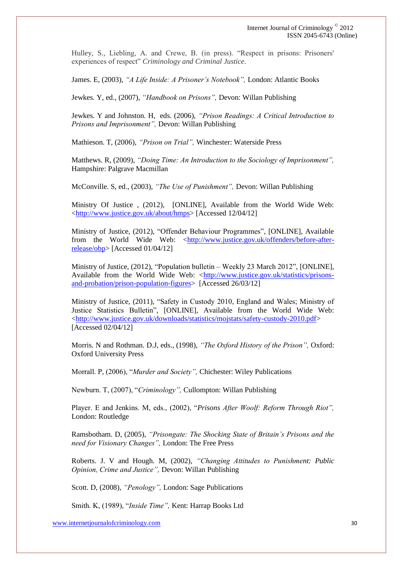Hulley, S., Liebling, A. and Crewe, B. (in press). "Respect in prisons: Prisoners' experiences of respect" *Criminology and Criminal Justice*.

James. E, (2003), *"A Life Inside: A Prisoner's Notebook",* London: Atlantic Books

Jewkes. Y, ed., (2007), *"Handbook on Prisons",* Devon: Willan Publishing

Jewkes. Y and Johnston. H, eds. (2006), *"Prison Readings: A Critical Introduction to Prisons and Imprisonment",* Devon: Willan Publishing

Mathieson. T, (2006), *"Prison on Trial",* Winchester: Waterside Press

Matthews. R, (2009), *"Doing Time: An Introduction to the Sociology of Imprisonment",*  Hampshire: Palgrave Macmillan

McConville. S, ed., (2003), *"The Use of Punishment",* Devon: Willan Publishing

Ministry Of Justice , (2012), [ONLINE], Available from the World Wide Web: [<http://www.justice.gov.uk/about/hmps>](http://www.justice.gov.uk/about/hmps) [Accessed 12/04/12]

Ministry of Justice, (2012), "Offender Behaviour Programmes", [ONLINE], Available from the World Wide Web: [<http://www.justice.gov.uk/offenders/before-after](http://www.justice.gov.uk/offenders/before-after-release/obp)[release/obp>](http://www.justice.gov.uk/offenders/before-after-release/obp) [Accessed 01/04/12]

Ministry of Justice, (2012), "Population bulletin – Weekly 23 March 2012", [ONLINE], Available from the World Wide Web:  $\langle \frac{http://www.justice.gov.uk/statistics/prisons-}{http://www.justice.gov.uk/statistics/prisons-}{\rangle}$ [and-probation/prison-population-figures>](http://www.justice.gov.uk/statistics/prisons-and-probation/prison-population-figures) [Accessed 26/03/12]

Ministry of Justice, (2011), "Safety in Custody 2010, England and Wales; Ministry of Justice Statistics Bulletin", [ONLINE], Available from the World Wide Web: [<http://www.justice.gov.uk/downloads/statistics/mojstats/safety-custody-2010.pdf>](http://www.justice.gov.uk/downloads/statistics/mojstats/safety-custody-2010.pdf) [Accessed 02/04/12]

Morris. N and Rothman. D.J, eds., (1998), *"The Oxford History of the Prison",* Oxford: Oxford University Press

Morrall. P, (2006), "*Murder and Society",* Chichester: Wiley Publications

Newburn. T, (2007), "*Criminology",* Cullompton: Willan Publishing

Player. E and Jenkins. M, eds., (2002), "*Prisons After Woolf: Reform Through Riot",*  London: Routledge

Ramsbotham. D, (2005), *"Prisongate: The Shocking State of Britain's Prisons and the need for Visionary Changes",* London: The Free Press

Roberts. J. V and Hough. M, (2002), *"Changing Attitudes to Punishment: Public Opinion, Crime and Justice",* Devon: Willan Publishing

Scott. D, (2008), *"Penology",* London: Sage Publications

Smith. K, (1989), "*Inside Time",* Kent: Harrap Books Ltd